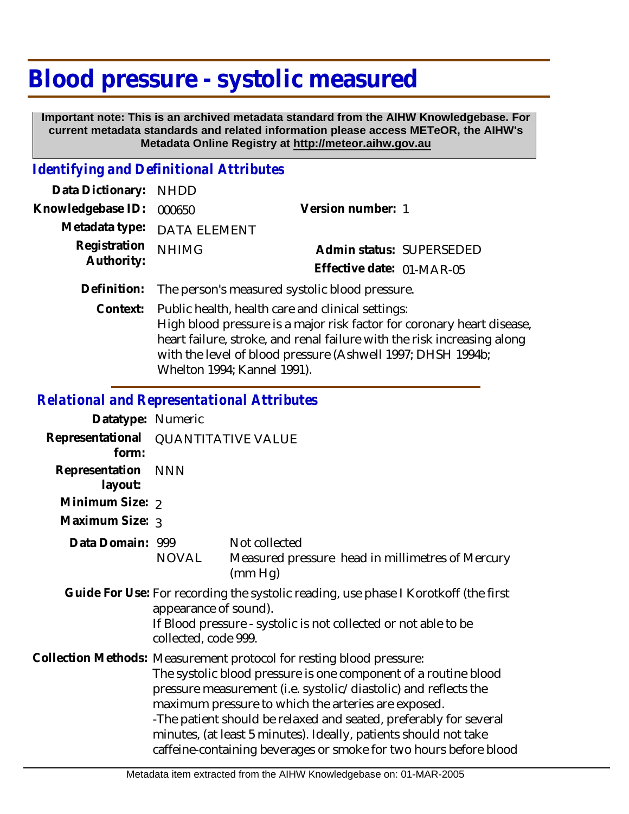# **Blood pressure - systolic measured**

 **Important note: This is an archived metadata standard from the AIHW Knowledgebase. For current metadata standards and related information please access METeOR, the AIHW's Metadata Online Registry at http://meteor.aihw.gov.au**

#### *Identifying and Definitional Attributes*

| Data Dictionary: NHDD    |                                                            |                           |  |
|--------------------------|------------------------------------------------------------|---------------------------|--|
| Knowledgebase ID: 000650 |                                                            | Version number: 1         |  |
|                          | Metadata type: DATA ELEMENT                                |                           |  |
| Registration             | <b>NHIMG</b>                                               | Admin status: SUPERSEDED  |  |
| Authority:               |                                                            | Effective date: 01-MAR-05 |  |
|                          | Definition: The person's measured systolic blood pressure. |                           |  |
|                          | Context: Public health, health care and clinical settings: |                           |  |

High blood pressure is a major risk factor for coronary heart disease, heart failure, stroke, and renal failure with the risk increasing along with the level of blood pressure (Ashwell 1997; DHSH 1994b; Whelton 1994; Kannel 1991).

## *Relational and Representational Attributes*

| Datatype: Numeric         |                                                                                                                                                                                                                                                                                                                                                                                                                                                                                 |                                                                              |
|---------------------------|---------------------------------------------------------------------------------------------------------------------------------------------------------------------------------------------------------------------------------------------------------------------------------------------------------------------------------------------------------------------------------------------------------------------------------------------------------------------------------|------------------------------------------------------------------------------|
| Representational<br>form: | <b>QUANTITATIVE VALUE</b>                                                                                                                                                                                                                                                                                                                                                                                                                                                       |                                                                              |
| Representation<br>layout: | <b>NNN</b>                                                                                                                                                                                                                                                                                                                                                                                                                                                                      |                                                                              |
| Minimum Size: 2           |                                                                                                                                                                                                                                                                                                                                                                                                                                                                                 |                                                                              |
| Maximum Size: 3           |                                                                                                                                                                                                                                                                                                                                                                                                                                                                                 |                                                                              |
| Data Domain: 999          | NOVAL                                                                                                                                                                                                                                                                                                                                                                                                                                                                           | Not collected<br>Measured pressure head in millimetres of Mercury<br>(mm Hq) |
|                           | Guide For Use: For recording the systolic reading, use phase I Korotkoff (the first<br>appearance of sound).<br>If Blood pressure - systolic is not collected or not able to be<br>collected, code 999.                                                                                                                                                                                                                                                                         |                                                                              |
|                           | Collection Methods: Measurement protocol for resting blood pressure:<br>The systolic blood pressure is one component of a routine blood<br>pressure measurement (i.e. systolic/diastolic) and reflects the<br>maximum pressure to which the arteries are exposed.<br>-The patient should be relaxed and seated, preferably for several<br>minutes, (at least 5 minutes). Ideally, patients should not take<br>caffeine-containing beverages or smoke for two hours before blood |                                                                              |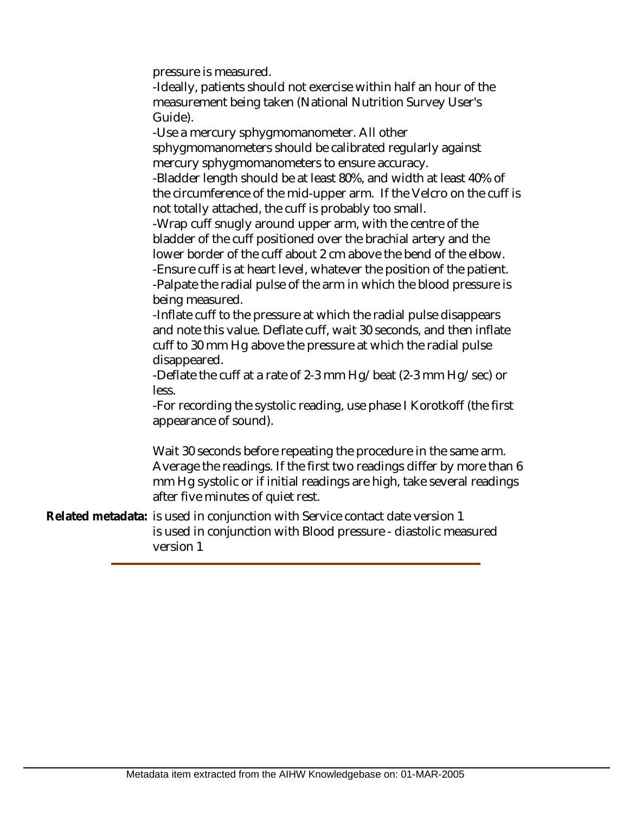pressure is measured.

-Ideally, patients should not exercise within half an hour of the measurement being taken (National Nutrition Survey User's Guide).

-Use a mercury sphygmomanometer. All other sphygmomanometers should be calibrated regularly against mercury sphygmomanometers to ensure accuracy.

-Bladder length should be at least 80%, and width at least 40% of the circumference of the mid-upper arm. If the Velcro on the cuff is not totally attached, the cuff is probably too small.

-Wrap cuff snugly around upper arm, with the centre of the bladder of the cuff positioned over the brachial artery and the lower border of the cuff about 2 cm above the bend of the elbow.

-Ensure cuff is at heart level, whatever the position of the patient. -Palpate the radial pulse of the arm in which the blood pressure is being measured.

-Inflate cuff to the pressure at which the radial pulse disappears and note this value. Deflate cuff, wait 30 seconds, and then inflate cuff to 30 mm Hg above the pressure at which the radial pulse disappeared.

-Deflate the cuff at a rate of 2-3 mm Hg/beat (2-3 mm Hg/sec) or less.

-For recording the systolic reading, use phase I Korotkoff (the first appearance of sound).

Wait 30 seconds before repeating the procedure in the same arm. Average the readings. If the first two readings differ by more than 6 mm Hg systolic or if initial readings are high, take several readings after five minutes of quiet rest.

Related metadata: is used in conjunction with Service contact date version 1 is used in conjunction with Blood pressure - diastolic measured version 1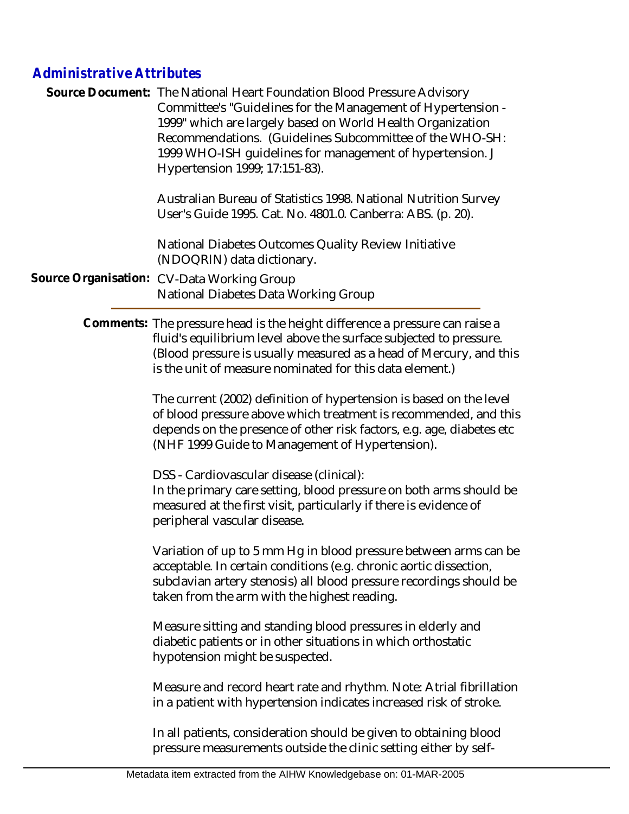### *Administrative Attributes*

|  | Source Document: The National Heart Foundation Blood Pressure Advisory<br>Committee's "Guidelines for the Management of Hypertension -<br>1999" which are largely based on World Health Organization<br>Recommendations. (Guidelines Subcommittee of the WHO-SH:<br>1999 WHO-ISH guidelines for management of hypertension. J<br>Hypertension 1999; 17:151-83). |
|--|-----------------------------------------------------------------------------------------------------------------------------------------------------------------------------------------------------------------------------------------------------------------------------------------------------------------------------------------------------------------|
|  | Australian Bureau of Statistics 1998. National Nutrition Survey<br>User's Guide 1995. Cat. No. 4801.0. Canberra: ABS. (p. 20).                                                                                                                                                                                                                                  |
|  | National Diabetes Outcomes Quality Review Initiative<br>(NDOQRIN) data dictionary.                                                                                                                                                                                                                                                                              |
|  | Source Organisation: CV-Data Working Group<br>National Diabetes Data Working Group                                                                                                                                                                                                                                                                              |

Comments: The pressure head is the height difference a pressure can raise a fluid's equilibrium level above the surface subjected to pressure. (Blood pressure is usually measured as a head of Mercury, and this is the unit of measure nominated for this data element.)

> The current (2002) definition of hypertension is based on the level of blood pressure above which treatment is recommended, and this depends on the presence of other risk factors, e.g. age, diabetes etc (NHF 1999 Guide to Management of Hypertension).

DSS - Cardiovascular disease (clinical):

In the primary care setting, blood pressure on both arms should be measured at the first visit, particularly if there is evidence of peripheral vascular disease.

Variation of up to 5 mm Hg in blood pressure between arms can be acceptable. In certain conditions (e.g. chronic aortic dissection, subclavian artery stenosis) all blood pressure recordings should be taken from the arm with the highest reading.

Measure sitting and standing blood pressures in elderly and diabetic patients or in other situations in which orthostatic hypotension might be suspected.

Measure and record heart rate and rhythm. Note: Atrial fibrillation in a patient with hypertension indicates increased risk of stroke.

In all patients, consideration should be given to obtaining blood pressure measurements outside the clinic setting either by self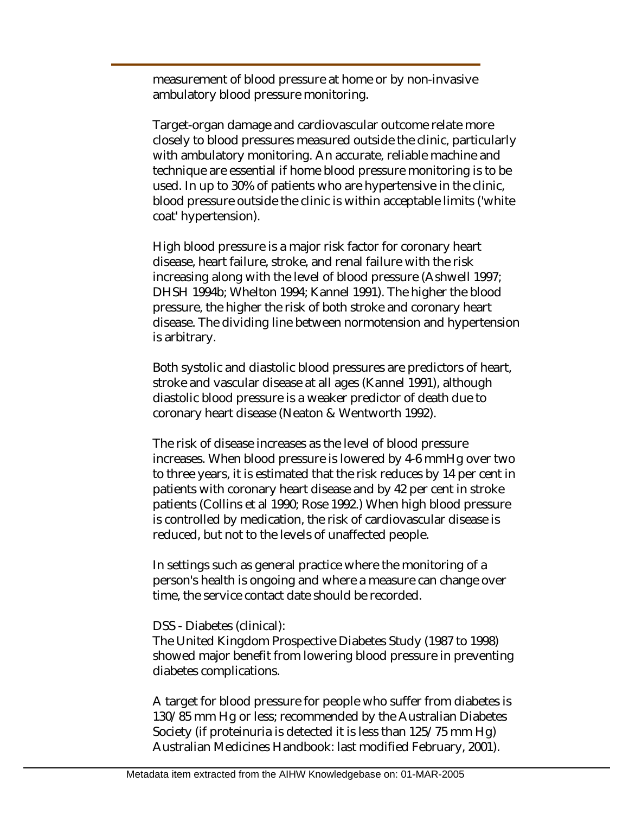measurement of blood pressure at home or by non-invasive ambulatory blood pressure monitoring.

Target-organ damage and cardiovascular outcome relate more closely to blood pressures measured outside the clinic, particularly with ambulatory monitoring. An accurate, reliable machine and technique are essential if home blood pressure monitoring is to be used. In up to 30% of patients who are hypertensive in the clinic, blood pressure outside the clinic is within acceptable limits ('white coat' hypertension).

High blood pressure is a major risk factor for coronary heart disease, heart failure, stroke, and renal failure with the risk increasing along with the level of blood pressure (Ashwell 1997; DHSH 1994b; Whelton 1994; Kannel 1991). The higher the blood pressure, the higher the risk of both stroke and coronary heart disease. The dividing line between normotension and hypertension is arbitrary.

Both systolic and diastolic blood pressures are predictors of heart, stroke and vascular disease at all ages (Kannel 1991), although diastolic blood pressure is a weaker predictor of death due to coronary heart disease (Neaton & Wentworth 1992).

The risk of disease increases as the level of blood pressure increases. When blood pressure is lowered by 4-6 mmHg over two to three years, it is estimated that the risk reduces by 14 per cent in patients with coronary heart disease and by 42 per cent in stroke patients (Collins et al 1990; Rose 1992.) When high blood pressure is controlled by medication, the risk of cardiovascular disease is reduced, but not to the levels of unaffected people.

In settings such as general practice where the monitoring of a person's health is ongoing and where a measure can change over time, the service contact date should be recorded.

#### DSS - Diabetes (clinical):

The United Kingdom Prospective Diabetes Study (1987 to 1998) showed major benefit from lowering blood pressure in preventing diabetes complications.

A target for blood pressure for people who suffer from diabetes is 130/85 mm Hg or less; recommended by the Australian Diabetes Society (if proteinuria is detected it is less than 125/75 mm Hg) Australian Medicines Handbook: last modified February, 2001).